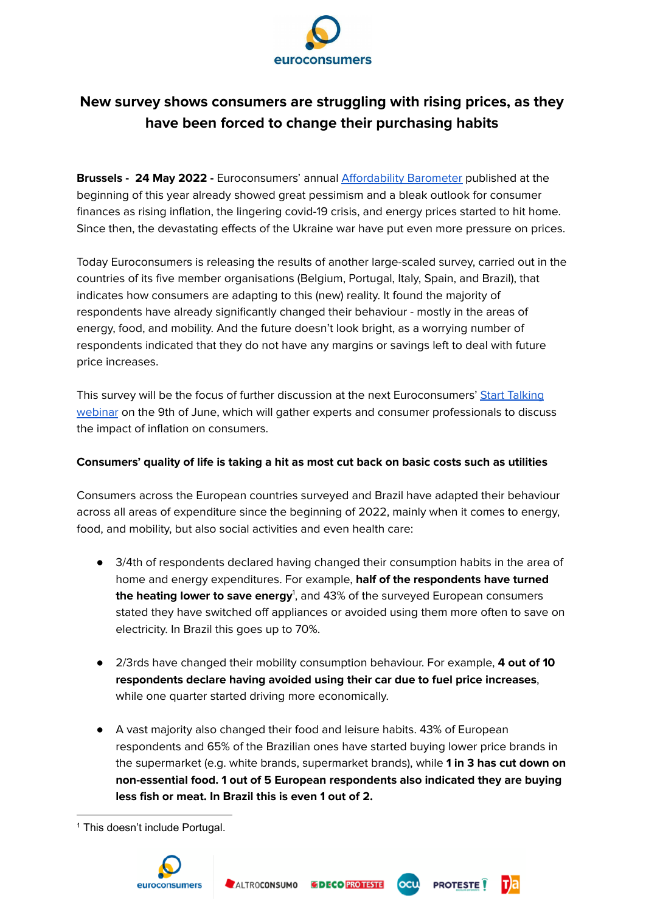

# **New survey shows consumers are struggling with rising prices, as they have been forced to change their purchasing habits**

**Brussels - 24 May 2022 -** Euroconsumers' annual [Affordability](https://www.euroconsumers.org/activities/euroconsumers-affordability-barometer-2021) Barometer published at the beginning of this year already showed great pessimism and a bleak outlook for consumer finances as rising inflation, the lingering covid-19 crisis, and energy prices started to hit home. Since then, the devastating effects of the Ukraine war have put even more pressure on prices.

Today Euroconsumers is releasing the results of another large-scaled survey, carried out in the countries of its five member organisations (Belgium, Portugal, Italy, Spain, and Brazil), that indicates how consumers are adapting to this (new) reality. It found the majority of respondents have already significantly changed their behaviour - mostly in the areas of energy, food, and mobility. And the future doesn't look bright, as a worrying number of respondents indicated that they do not have any margins or savings left to deal with future price increases.

This survey will be the focus of further discussion at the next Euroconsumers' Start [Talking](https://www.youtube.com/channel/UCsxCZ8xLVKMZ7c3BqJrWUcw) [webinar](https://www.youtube.com/channel/UCsxCZ8xLVKMZ7c3BqJrWUcw) on the 9th of June, which will gather experts and consumer professionals to discuss the impact of inflation on consumers.

## **Consumers' quality of life is taking a hit as most cut back on basic costs such as utilities**

Consumers across the European countries surveyed and Brazil have adapted their behaviour across all areas of expenditure since the beginning of 2022, mainly when it comes to energy, food, and mobility, but also social activities and even health care:

- 3/4th of respondents declared having changed their consumption habits in the area of home and energy expenditures. For example, **half of the respondents have turned the heating lower to save energy** 1 , and 43% of the surveyed European consumers stated they have switched off appliances or avoided using them more often to save on electricity. In Brazil this goes up to 70%.
- 2/3rds have changed their mobility consumption behaviour. For example, **4 out of 10 respondents declare having avoided using their car due to fuel price increases**, while one quarter started driving more economically.
- A vast majority also changed their food and leisure habits. 43% of European respondents and 65% of the Brazilian ones have started buying lower price brands in the supermarket (e.g. white brands, supermarket brands), while **1 in 3 has cut down on non-essential food. 1 out of 5 European respondents also indicated they are buying less fish or meat. In Brazil this is even 1 out of 2.**

ocu

**PROTESTE** 

<sup>&</sup>lt;sup>1</sup> This doesn't include Portugal.

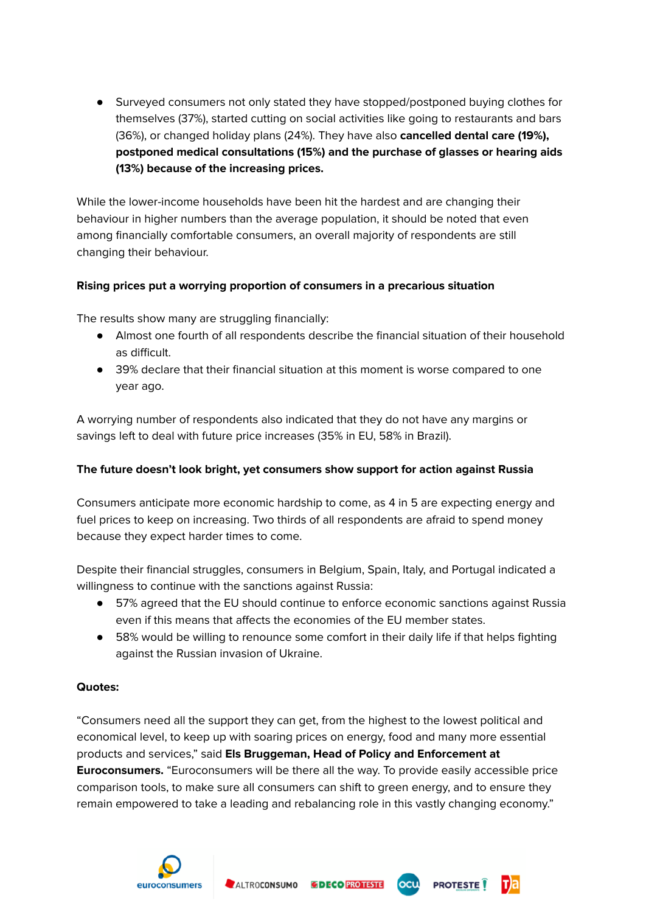● Surveyed consumers not only stated they have stopped/postponed buying clothes for themselves (37%), started cutting on social activities like going to restaurants and bars (36%), or changed holiday plans (24%). They have also **cancelled dental care (19%), postponed medical consultations (15%) and the purchase of glasses or hearing aids (13%) because of the increasing prices.**

While the lower-income households have been hit the hardest and are changing their behaviour in higher numbers than the average population, it should be noted that even among financially comfortable consumers, an overall majority of respondents are still changing their behaviour.

# **Rising prices put a worrying proportion of consumers in a precarious situation**

The results show many are struggling financially:

- Almost one fourth of all respondents describe the financial situation of their household as difficult.
- 39% declare that their financial situation at this moment is worse compared to one year ago.

A worrying number of respondents also indicated that they do not have any margins or savings left to deal with future price increases (35% in EU, 58% in Brazil).

## **The future doesn't look bright, yet consumers show support for action against Russia**

Consumers anticipate more economic hardship to come, as 4 in 5 are expecting energy and fuel prices to keep on increasing. Two thirds of all respondents are afraid to spend money because they expect harder times to come.

Despite their financial struggles, consumers in Belgium, Spain, Italy, and Portugal indicated a willingness to continue with the sanctions against Russia:

- 57% agreed that the EU should continue to enforce economic sanctions against Russia even if this means that affects the economies of the EU member states.
- 58% would be willing to renounce some comfort in their daily life if that helps fighting against the Russian invasion of Ukraine.

## **Quotes:**

"Consumers need all the support they can get, from the highest to the lowest political and economical level, to keep up with soaring prices on energy, food and many more essential products and services," said **Els Bruggeman, Head of Policy and Enforcement at Euroconsumers.** "Euroconsumers will be there all the way. To provide easily accessible price comparison tools, to make sure all consumers can shift to green energy, and to ensure they remain empowered to take a leading and rebalancing role in this vastly changing economy."

**OCU PROTESTE**